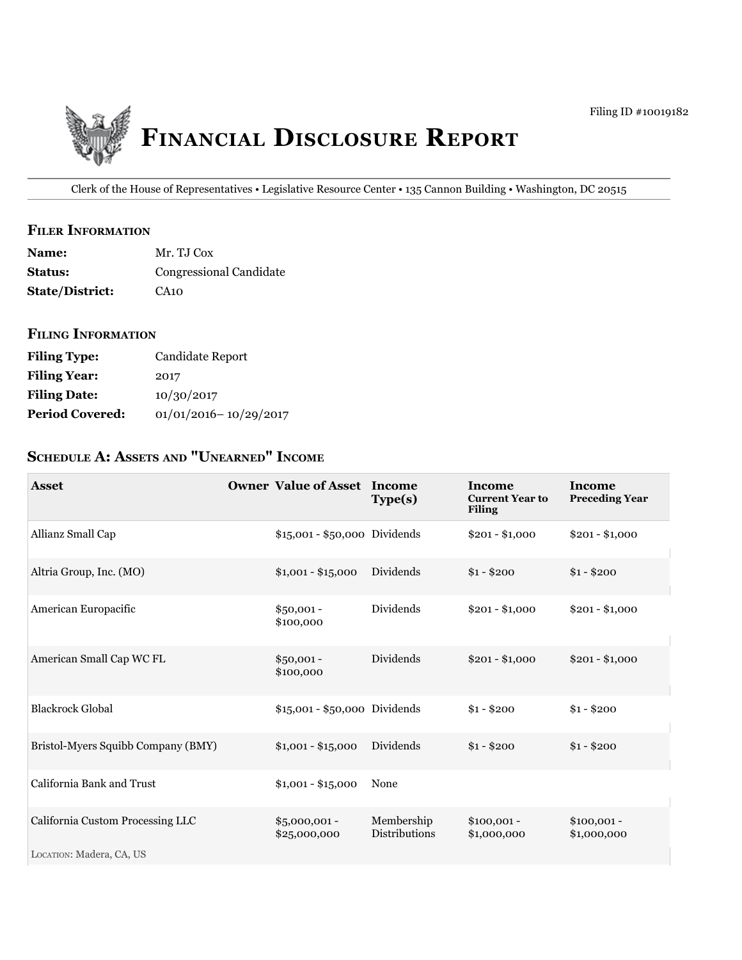

Clerk of the House of Representatives • Legislative Resource Center • 135 Cannon Building • Washington, DC 20515

### **filer iNfOrmatiON**

| <b>Name:</b>           | Mr. T.J Cox             |
|------------------------|-------------------------|
| <b>Status:</b>         | Congressional Candidate |
| <b>State/District:</b> | CA10                    |

### **filiNg iNfOrmatiON**

| <b>Filing Type:</b>    | Candidate Report          |
|------------------------|---------------------------|
| <b>Filing Year:</b>    | 2017                      |
| <b>Filing Date:</b>    | 10/30/2017                |
| <b>Period Covered:</b> | $01/01/2016 - 10/29/2017$ |

# **ScheDule a: aSSetS aND "uNearNeD" iNcOme**

| <b>Asset</b>                       | <b>Owner Value of Asset Income</b> | Type(s)                            | Income<br><b>Current Year to</b><br><b>Filing</b> | <b>Income</b><br><b>Preceding Year</b> |
|------------------------------------|------------------------------------|------------------------------------|---------------------------------------------------|----------------------------------------|
| Allianz Small Cap                  | \$15,001 - \$50,000 Dividends      |                                    | $$201 - $1,000$                                   | $$201 - $1,000$                        |
| Altria Group, Inc. (MO)            | $$1,001 - $15,000$                 | Dividends                          | $$1 - $200$                                       | $$1 - $200$                            |
| American Europacific               | $$50,001 -$<br>\$100,000           | Dividends                          | $$201 - $1,000$                                   | $$201 - $1,000$                        |
| American Small Cap WC FL           | $$50,001 -$<br>\$100,000           | Dividends                          | $$201 - $1,000$                                   | $$201 - $1,000$                        |
| <b>Blackrock Global</b>            | \$15,001 - \$50,000 Dividends      |                                    | $$1 - $200$                                       | $$1 - $200$                            |
| Bristol-Myers Squibb Company (BMY) | $$1,001 - $15,000$                 | Dividends                          | $$1 - $200$                                       | $$1 - $200$                            |
| California Bank and Trust          | $$1,001 - $15,000$                 | None                               |                                                   |                                        |
| California Custom Processing LLC   | $$5,000,001 -$<br>\$25,000,000     | Membership<br><b>Distributions</b> | $$100,001 -$<br>\$1,000,000                       | $$100,001 -$<br>\$1,000,000            |
| LOCATION: Madera, CA, US           |                                    |                                    |                                                   |                                        |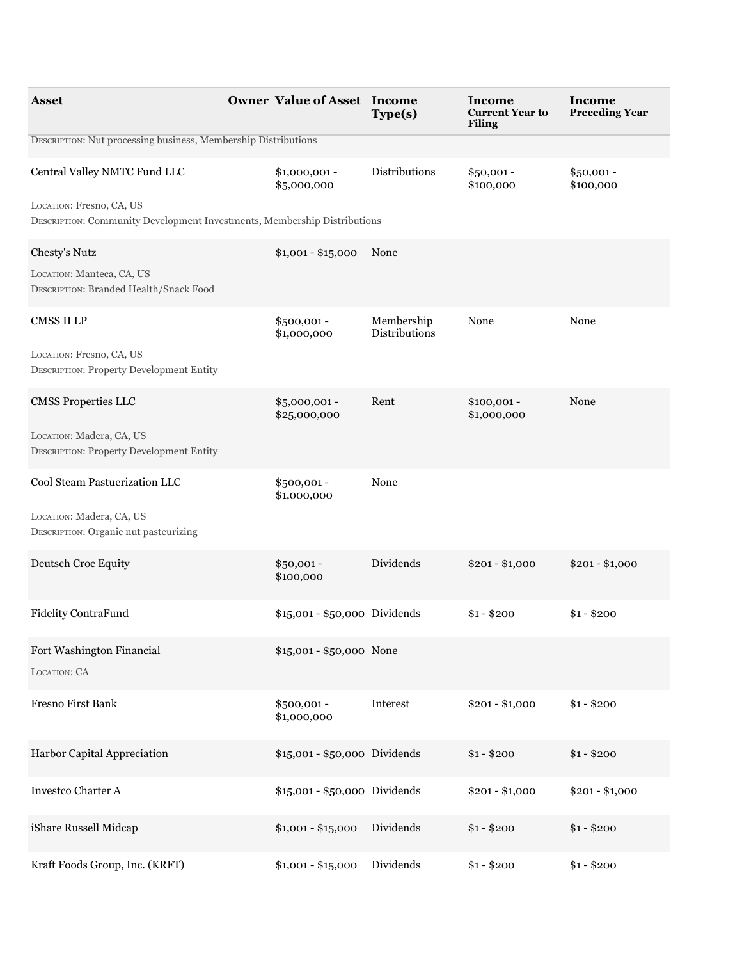| <b>Asset</b>                                                                                         | <b>Owner Value of Asset Income</b> | Type(s)                     | Income<br><b>Current Year to</b><br><b>Filing</b> | Income<br><b>Preceding Year</b> |
|------------------------------------------------------------------------------------------------------|------------------------------------|-----------------------------|---------------------------------------------------|---------------------------------|
| DESCRIPTION: Nut processing business, Membership Distributions                                       |                                    |                             |                                                   |                                 |
| Central Valley NMTC Fund LLC                                                                         | $$1,000,001 -$<br>\$5,000,000      | Distributions               | $$50,001 -$<br>\$100,000                          | $$50,001 -$<br>\$100,000        |
| LOCATION: Fresno, CA, US<br>DESCRIPTION: Community Development Investments, Membership Distributions |                                    |                             |                                                   |                                 |
| Chesty's Nutz                                                                                        | $$1,001 - $15,000$                 | None                        |                                                   |                                 |
| LOCATION: Manteca, CA, US<br>DESCRIPTION: Branded Health/Snack Food                                  |                                    |                             |                                                   |                                 |
| CMSS II LP                                                                                           | \$500,001 -<br>\$1,000,000         | Membership<br>Distributions | None                                              | None                            |
| LOCATION: Fresno, CA, US<br><b>DESCRIPTION: Property Development Entity</b>                          |                                    |                             |                                                   |                                 |
| <b>CMSS Properties LLC</b>                                                                           | \$5,000,001 -<br>\$25,000,000      | Rent                        | $$100,001 -$<br>\$1,000,000                       | None                            |
| LOCATION: Madera, CA, US<br>DESCRIPTION: Property Development Entity                                 |                                    |                             |                                                   |                                 |
| Cool Steam Pastuerization LLC                                                                        | \$500,001 -<br>\$1,000,000         | None                        |                                                   |                                 |
| LOCATION: Madera, CA, US<br>DESCRIPTION: Organic nut pasteurizing                                    |                                    |                             |                                                   |                                 |
| Deutsch Croc Equity                                                                                  | $$50,001 -$<br>\$100,000           | Dividends                   | $$201 - $1,000$                                   | $$201 - $1,000$                 |
| Fidelity ContraFund                                                                                  | \$15,001 - \$50,000 Dividends      |                             | $$1 - $200$                                       | $$1 - $200$                     |
| Fort Washington Financial<br>LOCATION: CA                                                            | \$15,001 - \$50,000 None           |                             |                                                   |                                 |
| Fresno First Bank                                                                                    | \$500,001 -<br>\$1,000,000         | Interest                    | $$201 - $1,000$                                   | $$1 - $200$                     |
| Harbor Capital Appreciation                                                                          | \$15,001 - \$50,000 Dividends      |                             | $$1 - $200$                                       | $$1 - $200$                     |
| Investco Charter A                                                                                   | \$15,001 - \$50,000 Dividends      |                             | $$201 - $1,000$                                   | $$201 - $1,000$                 |
| iShare Russell Midcap                                                                                | $$1,001 - $15,000$                 | Dividends                   | $$1 - $200$                                       | $$1 - $200$                     |
| Kraft Foods Group, Inc. (KRFT)                                                                       | $$1,001 - $15,000$                 | Dividends                   | $$1 - $200$                                       | $$1 - $200$                     |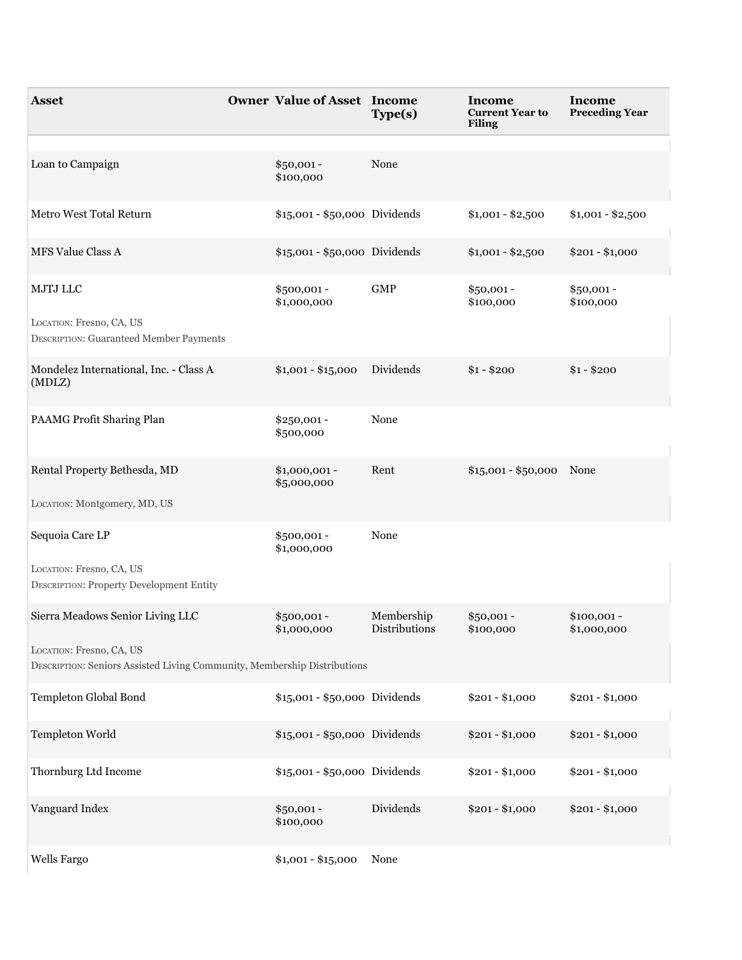| <b>Asset</b>                                                                                         | <b>Owner Value of Asset Income</b> | Type(s)                     | Income<br><b>Current Year to</b><br><b>Filing</b> | Income<br><b>Preceding Year</b> |
|------------------------------------------------------------------------------------------------------|------------------------------------|-----------------------------|---------------------------------------------------|---------------------------------|
| Loan to Campaign                                                                                     | $$50,001 -$<br>\$100,000           | None                        |                                                   |                                 |
| Metro West Total Return                                                                              | \$15,001 - \$50,000 Dividends      |                             | $$1,001 - $2,500$                                 | $$1,001 - $2,500$               |
| <b>MFS Value Class A</b>                                                                             | \$15,001 - \$50,000 Dividends      |                             | $$1,001 - $2,500$                                 | $$201 - $1,000$                 |
| MJTJ LLC<br>LOCATION: Fresno, CA, US                                                                 | \$500,001 -<br>\$1,000,000         | ${\rm GMP}$                 | $$50,001 -$<br>\$100,000                          | $$50,001 -$<br>\$100,000        |
| DESCRIPTION: Guaranteed Member Payments                                                              |                                    |                             |                                                   |                                 |
| Mondelez International, Inc. - Class A<br>(MDLZ)                                                     | $$1,001 - $15,000$                 | Dividends                   | $$1 - $200$                                       | $$1 - $200$                     |
| PAAMG Profit Sharing Plan                                                                            | $$250,001 -$<br>\$500,000          | None                        |                                                   |                                 |
| Rental Property Bethesda, MD                                                                         | $$1,000,001$ -<br>\$5,000,000      | Rent                        | \$15,001 - \$50,000 None                          |                                 |
| LOCATION: Montgomery, MD, US                                                                         |                                    |                             |                                                   |                                 |
| Sequoia Care LP                                                                                      | \$500,001 -<br>\$1,000,000         | None                        |                                                   |                                 |
| LOCATION: Fresno, CA, US<br><b>DESCRIPTION: Property Development Entity</b>                          |                                    |                             |                                                   |                                 |
| Sierra Meadows Senior Living LLC                                                                     | $$500,001 -$<br>\$1,000,000        | Membership<br>Distributions | $$50,001 -$<br>\$100,000                          | $$100,001 -$<br>\$1,000,000     |
| LOCATION: Fresno, CA, US<br>DESCRIPTION: Seniors Assisted Living Community, Membership Distributions |                                    |                             |                                                   |                                 |
| Templeton Global Bond                                                                                | \$15,001 - \$50,000 Dividends      |                             | $$201 - $1,000$                                   | $$201 - $1,000$                 |
| Templeton World                                                                                      | \$15,001 - \$50,000 Dividends      |                             | $$201 - $1,000$                                   | $$201 - $1,000$                 |
| Thornburg Ltd Income                                                                                 | \$15,001 - \$50,000 Dividends      |                             | $$201 - $1,000$                                   | $$201 - $1,000$                 |
| Vanguard Index                                                                                       | $$50,001 -$<br>\$100,000           | Dividends                   | $$201 - $1,000$                                   | $$201 - $1,000$                 |
| Wells Fargo                                                                                          | $$1,001 - $15,000$                 | None                        |                                                   |                                 |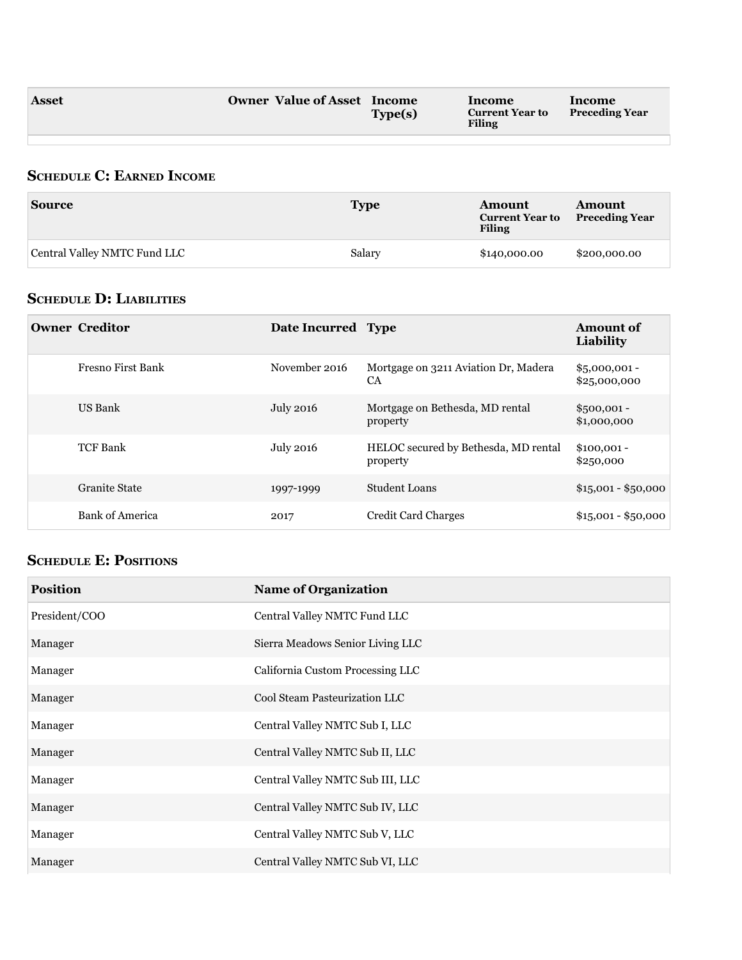### **ScheDule c: earNeD iNcOme**

| <b>Source</b>                | <b>Type</b> | Amount<br><b>Current Year to</b><br><b>Filing</b> | Amount<br><b>Preceding Year</b> |
|------------------------------|-------------|---------------------------------------------------|---------------------------------|
| Central Valley NMTC Fund LLC | Salary      | \$140,000.00                                      | \$200,000.00                    |

### **ScheDule D: liabilitieS**

| <b>Owner Creditor</b>    | Date Incurred Type |                                                   | <b>Amount of</b><br>Liability  |
|--------------------------|--------------------|---------------------------------------------------|--------------------------------|
| <b>Fresno First Bank</b> | November 2016      | Mortgage on 3211 Aviation Dr, Madera<br><b>CA</b> | $$5,000,001 -$<br>\$25,000,000 |
| US Bank                  | July 2016          | Mortgage on Bethesda, MD rental<br>property       | $$500,001 -$<br>\$1,000,000    |
| <b>TCF Bank</b>          | <b>July 2016</b>   | HELOC secured by Bethesda, MD rental<br>property  | $$100,001 -$<br>\$250,000      |
| <b>Granite State</b>     | 1997-1999          | Student Loans                                     | $$15,001 - $50,000$            |
| <b>Bank of America</b>   | 2017               | <b>Credit Card Charges</b>                        | $$15,001 - $50,000$            |

## **ScheDule e: POSitiONS**

| <b>Position</b> | <b>Name of Organization</b>      |
|-----------------|----------------------------------|
| President/COO   | Central Valley NMTC Fund LLC     |
| Manager         | Sierra Meadows Senior Living LLC |
| Manager         | California Custom Processing LLC |
| Manager         | Cool Steam Pasteurization LLC    |
| Manager         | Central Valley NMTC Sub I, LLC   |
| Manager         | Central Valley NMTC Sub II, LLC  |
| Manager         | Central Valley NMTC Sub III, LLC |
| Manager         | Central Valley NMTC Sub IV, LLC  |
| Manager         | Central Valley NMTC Sub V, LLC   |
| Manager         | Central Valley NMTC Sub VI, LLC  |